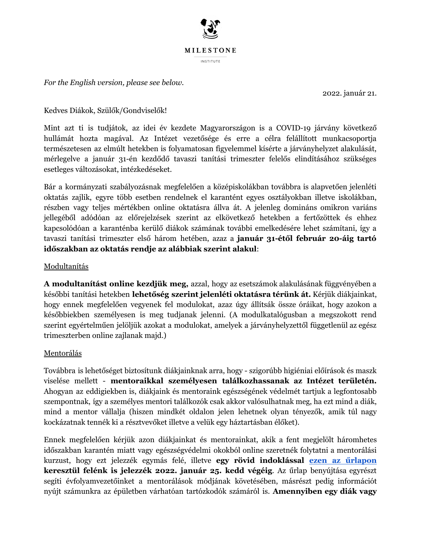

*For the English version, please see below.* 

2022. január 21.

Kedves Diákok, Szülők/Gondviselők!

Mint azt ti is tudjátok, az idei év kezdete Magyarországon is a COVID-19 járvány következő hullámát hozta magával. Az Intézet vezetősége és erre a célra felállított munkacsoportja természetesen az elmúlt hetekben is folyamatosan figyelemmel kísérte a járványhelyzet alakulását, mérlegelve a január 31-én kezdődő tavaszi tanítási trimeszter felelős elindításához szükséges esetleges változásokat, intézkedéseket.

Bár a kormányzati szabályozásnak megfelelően a középiskolákban továbbra is alapvetően jelenléti oktatás zajlik, egyre több esetben rendelnek el karantént egyes osztályokban illetve iskolákban, részben vagy teljes mértékben online oktatásra állva át. A jelenleg domináns omikron variáns jellegéből adódóan az előrejelzések szerint az elkövetkező hetekben a fertőzöttek és ehhez kapcsolódóan a karanténba kerülő diákok számának további emelkedésére lehet számítani, így a tavaszi tanítási trimeszter első három hetében, azaz a január 31-étől február 20-áig tartó **időszakban az oktatás rendje az alábbiak szerint alakul:** 

## Modultanítás

A **modultanítást online kezdjük meg,** azzal, hogy az esetszámok alakulásának függvényében a későbbi tanítási hetekben lehetőség szerint jelenléti oktatásra térünk át. Kérjük diákjainkat, hogy ennek megfelelően vegyenek fel modulokat, azaz úgy állítsák össze óráikat, hogy azokon a későbbiekben személyesen is meg tudjanak jelenni. (A modulkatalógusban a megszokott rend szerint egyértelműen jelöljük azokat a modulokat, amelyek a járványhelyzettől függetlenül az egész trimeszterben online zajlanak majd.)

## Mentorálás

Továbbra is lehetőséget biztosítunk diákjainknak arra, hogy - szigorúbb higiéniai előírások és maszk  $v$ iselése mellett - **mentoraikkal személyesen találkozhassanak az Intézet területén.** Ahogyan az eddigiekben is, diákjaink és mentoraink egészségének védelmét tartjuk a legfontosabb szempontnak, így a személyes mentori találkozók csak akkor valósulhatnak meg, ha ezt mind a diák, mind a mentor vállalja (hiszen mindkét oldalon jelen lehetnek olyan tényezők, amik túl nagy kockázatnak tennék ki a résztvevőket illetve a velük egy háztartásban élőket).

Ennek megfelelően kérjük azon diákjainkat és mentorainkat, akik a fent megjelölt háromhetes időszakban karantén miatt vagy egészségvédelmi okokból online szeretnék folytatni a mentorálási kurzust, hogy ezt jelezzék egymás felé, illetve **egy rövid indoklással ezen az űrlapon keresztül felénk is jelezzék 2022. január 25. kedd végéig. Az űrlap benyújtása egyrészt** segíti évfolyamvezetőinket a mentorálások módjának követésében, másrészt pedig információt nyújt számunkra az épületben várhatóan tartózkodók számáról is. **Amennyiben egy diák vagy**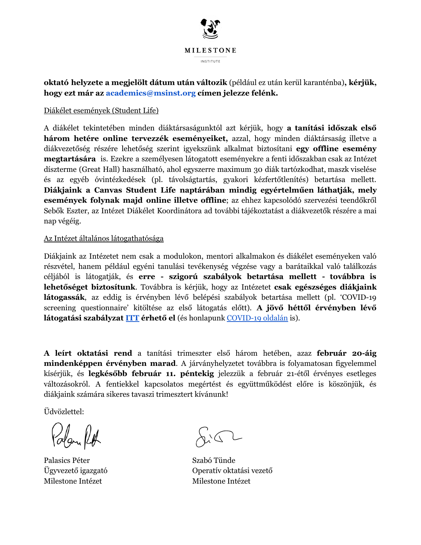

**RkWaWy hel\]eWe a Pegjel|lW diWXP XWiQ YilWR]ik** (ppldiul ez utin kerl karantpnba)**, kpUjk, hogy** ezt már az academics@msinst.org címen jelezze felénk.

### Diákélet események (Student Life)

A diákélet tekintetében minden diáktársaságunktól azt kérjük, hogy a tanítási időszak első **három hetére online tervezzék eseményeiket,** azzal, hogy minden diáktársaság illetve a diákvezetőség részére lehetőség szerint igyekszünk alkalmat biztosítani **egy offline esemény megtartására** is. Ezekre a személyesen látogatott eseményekre a fenti időszakban csak az Intézet díszterme (Great Hall) használható, ahol egyszerre maximum 30 diák tartózkodhat, maszk viselése és az egyéb óvintézkedések (pl. távolságtartás, gyakori kézfertőtlenítés) betartása mellett. **Diákjaink a Canvas Student Life naptárában mindig egyértelműen láthatják, mely események folynak majd online illetve offline;** az ehhez kapcsolódó szervezési teendőkről Sebők Eszter, az Intézet Diákélet Koordinátora ad további tájékoztatást a diákvezetők részére a mai nap végéig.

#### Az Intézet általános látogathatósága

Diákjaink az Intézetet nem csak a modulokon, mentori alkalmakon és diákélet eseményeken való részvétel, hanem például egyéni tanulási tevékenység végzése vagy a barátaikkal való találkozás  $\chi$ eéljából is látogatják, és **erre - szigorú szabályok betartása mellett - továbbra is lehetőséget biztosítunk**. Továbbra is kérjük, hogy az Intézetet **csak egészséges diákjaink látogassák**, az eddig is érvényben lévő belépési szabályok betartása mellett (pl. °COVID-19 screening questionnaire' kitöltése az első látogatás előtt). **A jövő héttől érvényben lévő látogatási szabályzat [ITT](https://milestone-institute.org/wp-content/uploads/2022/01/COVID-rules-from-January-2022-1.pdf) érhető el** (és honlapunk [COVID-19](https://milestone-institute.org/hu/covid-19/) oldalán is).

**A leírt oktatási rend** a tanítási trimeszter első három hetében, azaz **február 20-áig Pindenképpen érvényben marad**. A járványhelyzetet továbbra is folyamatosan figyelemmel kísérjük, és **legkésőbb február 11. péntekig** jelezzük a február 21-étől érvényes esetleges változásokról. A fentiekkel kapcsolatos megértést és együttműködést előre is köszönjük, és diákjaink számára sikeres tavaszi trimesztert kívánunk!

Üdvözlettel:

Polari Put

Palasics Péter Szabó Tünde Milestone Intézet Milestone Intézet

 $R\backslash\mathbb{C}$ 

Ügyvezető igazgató beszocsok operatív oktatási vezető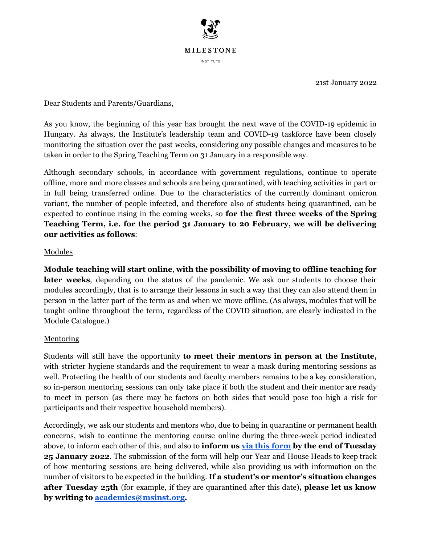

21st January 2022

Dear Students and Parents/Guardians,

As you know, the beginning of this year has brought the next wave of the COVID-19 epidemic in Hungary. As always, the Institute's leadership team and COVID-19 taskforce have been closely monitoring the situation over the past weeks, considering any possible changes and measures to be taken in order to the Spring Teaching Term on 31 January in a responsible way.

Although secondary schools, in accordance with government regulations, continue to operate offline, more and more classes and schools are being quarantined, with teaching activities in part or in full being transferred online. Due to the characteristics of the currently dominant omicron variant, the number of people infected, and therefore also of students being quarantined, can be expected to continue rising in the coming weeks, so **for the first three weeks of the Spring Teaching Term, i.e. for the period 31 January to 20 February, we will be delivering**  $\alpha$  **activities** as follows:

## Modules

**Module teaching will start online, with the possibility of moving to offline teaching for** later weeks, depending on the status of the pandemic. We ask our students to choose their modules accordingly, that is to arrange their lessons in such a way that they can also attend them in person in the latter part of the term as and when we move offline. (As always, modules that will be taught online throughout the term, regardless of the COVID situation, are clearly indicated in the Module Catalogue.)

# Mentoring

**Students will still have the opportunity to meet their mentors in person at the Institute,** with stricter hygiene standards and the requirement to wear a mask during mentoring sessions as well. Protecting the health of our students and faculty members remains to be a key consideration, so in-person mentoring sessions can only take place if both the student and their mentor are ready to meet in person (as there may be factors on both sides that would pose too high a risk for participants and their respective household members).

Accordingly, we ask our students and mentors who, due to being in quarantine or permanent health concerns, wish to continue the mentoring course online during the three-week period indicated above, to inform each other of this, and also to **inform us via this form by the end of Tuesday 25 January 2022**. The submission of the form will help our Year and House Heads to keep track of how mentoring sessions are being delivered, while also providing us with information on the number of visitors to be expected in the building. If a student's or mentor's situation changes **after Tuesday 25th** (for example, if they are quarantined after this date), please let us know  $\bf{b}$  **writing to academics@msinst.org.**